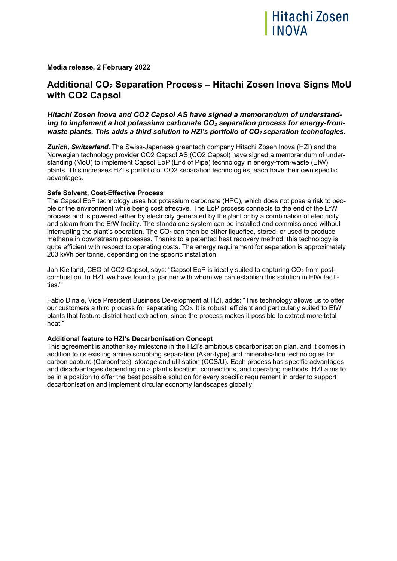

### **Media release, 2 February 2022**

## **Additional CO2 Separation Process – Hitachi Zosen Inova Signs MoU with CO2 Capsol**

### *Hitachi Zosen Inova and CO2 Capsol AS have signed a memorandum of understanding to implement a hot potassium carbonate CO2 separation process for energy-fromwaste plants. This adds a third solution to HZI's portfolio of CO2 separation technologies.*

*Zurich, Switzerland.* The Swiss-Japanese greentech company Hitachi Zosen Inova (HZI) and the Norwegian technology provider CO2 Capsol AS (CO2 Capsol) have signed a memorandum of understanding (MoU) to implement Capsol EoP (End of Pipe) technology in energy-from-waste (EfW) plants. This increases HZI's portfolio of CO2 separation technologies, each have their own specific advantages.

### **Safe Solvent, Cost-Effective Process**

The Capsol EoP technology uses hot potassium carbonate (HPC), which does not pose a risk to people or the environment while being cost effective. The EoP process connects to the end of the EfW process and is powered either by electricity generated by the plant or by a combination of electricity and steam from the EfW facility. The standalone system can be installed and commissioned without interrupting the plant's operation. The  $CO<sub>2</sub>$  can then be either liquefied, stored, or used to produce methane in downstream processes. Thanks to a patented heat recovery method, this technology is quite efficient with respect to operating costs. The energy requirement for separation is approximately 200 kWh per tonne, depending on the specific installation.

Jan Kielland, CEO of CO2 Capsol, says: "Capsol EoP is ideally suited to capturing CO<sub>2</sub> from postcombustion. In HZI, we have found a partner with whom we can establish this solution in EfW facilities."

Fabio Dinale, Vice President Business Development at HZI, adds: "This technology allows us to offer our customers a third process for separating CO<sub>2</sub>. It is robust, efficient and particularly suited to EfW plants that feature district heat extraction, since the process makes it possible to extract more total heat."

### **Additional feature to HZI's Decarbonisation Concept**

This agreement is another key milestone in the HZI's ambitious decarbonisation plan, and it comes in addition to its existing amine scrubbing separation (Aker-type) and mineralisation technologies for carbon capture (Carbonfree), storage and utilisation (CCS/U). Each process has specific advantages and disadvantages depending on a plant's location, connections, and operating methods. HZI aims to be in a position to offer the best possible solution for every specific requirement in order to support decarbonisation and implement circular economy landscapes globally.